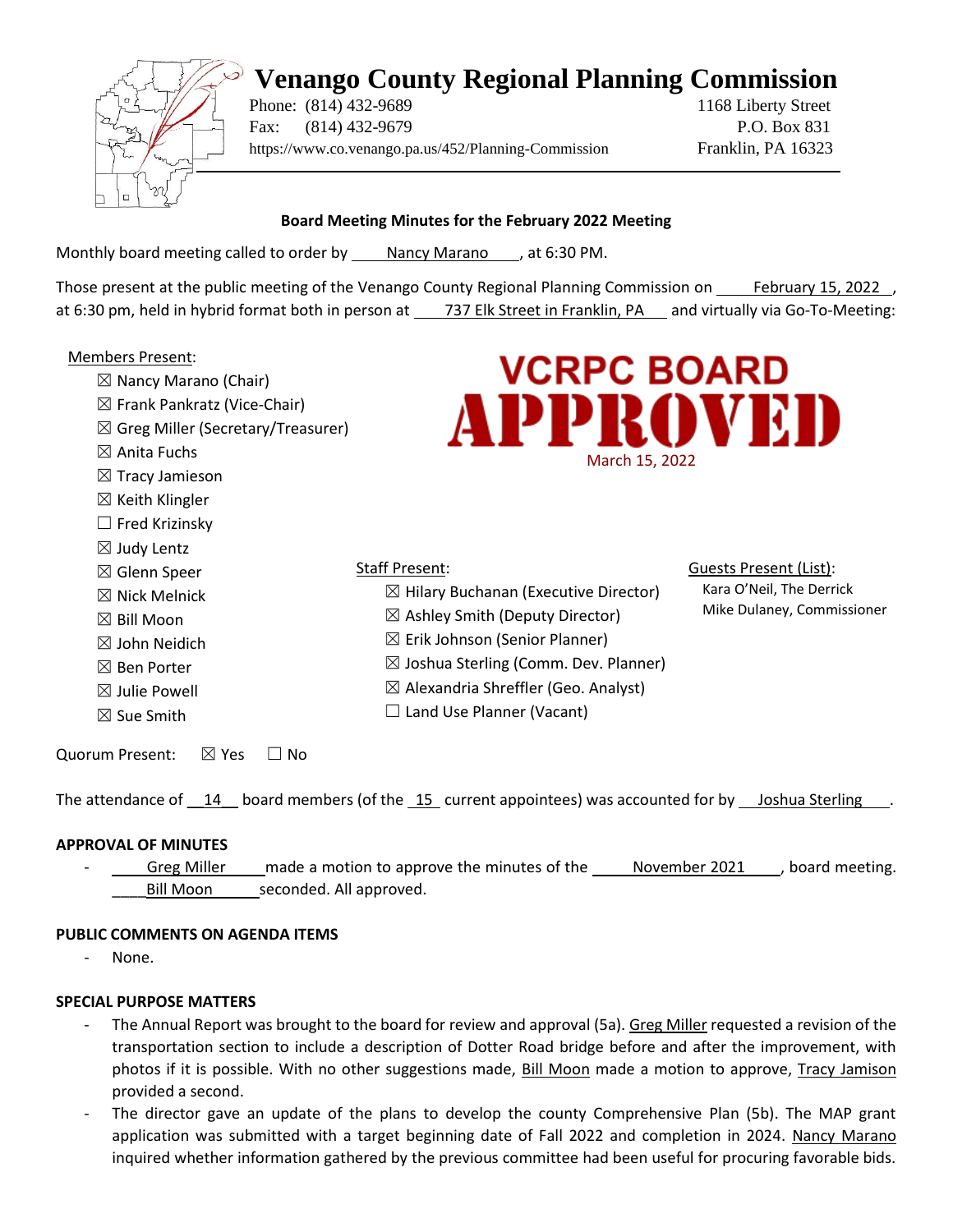# **Venango County Regional Planning Commission**



Phone: (814) 432-9689 1168 Liberty Street Fax: (814) 432-9679 P.O. Box 831 https://www.co.venango.pa.us/452/Planning-Commission Franklin, PA 16323

Guests Present (List): Kara O'Neil, The Derrick Mike Dulaney, Commissioner

# **Board Meeting Minutes for the February 2022 Meeting**

Monthly board meeting called to order by Nancy Marano , at 6:30 PM.

Those present at the public meeting of the Venango County Regional Planning Commission on February 15, 2022 , at 6:30 pm, held in hybrid format both in person at 737 Elk Street in Franklin, PA and virtually via Go-To-Meeting:

# Members Present:

- $\boxtimes$  Nancy Marano (Chair)
- ☒ Frank Pankratz (Vice-Chair)
- ☒ Greg Miller (Secretary/Treasurer)
- $\boxtimes$  Anita Fuchs
- ☒ Tracy Jamieson
- $\boxtimes$  Keith Klingler
- $\Box$  Fred Krizinsky
- $\boxtimes$  Judy Lentz
- ☒ Glenn Speer
- $\boxtimes$  Nick Melnick
- $\boxtimes$  Bill Moon
- ☒ John Neidich
- ☒ Ben Porter
- $\boxtimes$  Julie Powell
- ☒ Sue Smith
- Staff Present:  $\boxtimes$  Hilary Buchanan (Executive Director)
	- $\boxtimes$  Ashley Smith (Deputy Director)
	- $\boxtimes$  Erik Johnson (Senior Planner)
	- $\boxtimes$  Joshua Sterling (Comm. Dev. Planner)
	- $\boxtimes$  Alexandria Shreffler (Geo. Analyst)
- □ Land Use Planner (Vacant)

Quorum Present: ⊠ Yes □ No

The attendance of 14 board members (of the 15 current appointees) was accounted for by Joshua Sterling

# **APPROVAL OF MINUTES**

Greg Miller made a motion to approve the minutes of the November 2021, board meeting. Bill Moon seconded. All approved.

## **PUBLIC COMMENTS ON AGENDA ITEMS**

None.

# **SPECIAL PURPOSE MATTERS**

- The Annual Report was brought to the board for review and approval (5a). Greg Miller requested a revision of the transportation section to include a description of Dotter Road bridge before and after the improvement, with photos if it is possible. With no other suggestions made, Bill Moon made a motion to approve, Tracy Jamison provided a second.
- The director gave an update of the plans to develop the county Comprehensive Plan (5b). The MAP grant application was submitted with a target beginning date of Fall 2022 and completion in 2024. Nancy Marano inquired whether information gathered by the previous committee had been useful for procuring favorable bids.

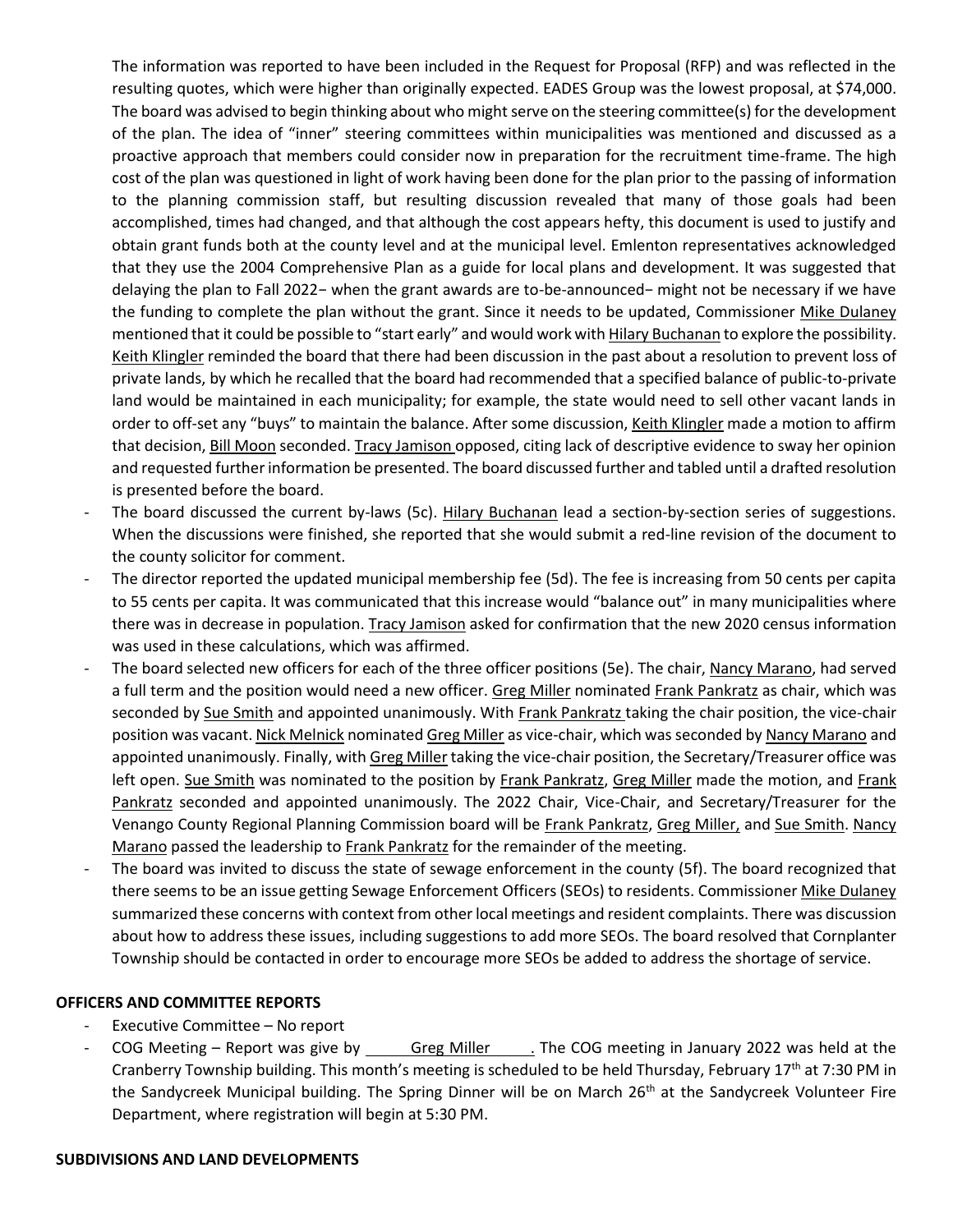The information was reported to have been included in the Request for Proposal (RFP) and was reflected in the resulting quotes, which were higher than originally expected. EADES Group was the lowest proposal, at \$74,000. The board was advised to begin thinking about who might serve on the steering committee(s) for the development of the plan. The idea of "inner" steering committees within municipalities was mentioned and discussed as a proactive approach that members could consider now in preparation for the recruitment time-frame. The high cost of the plan was questioned in light of work having been done for the plan prior to the passing of information to the planning commission staff, but resulting discussion revealed that many of those goals had been accomplished, times had changed, and that although the cost appears hefty, this document is used to justify and obtain grant funds both at the county level and at the municipal level. Emlenton representatives acknowledged that they use the 2004 Comprehensive Plan as a guide for local plans and development. It was suggested that delaying the plan to Fall 2022− when the grant awards are to-be-announced− might not be necessary if we have the funding to complete the plan without the grant. Since it needs to be updated, Commissioner Mike Dulaney mentioned that it could be possible to "start early" and would work with **Hilary Buchanan** to explore the possibility. Keith Klingler reminded the board that there had been discussion in the past about a resolution to prevent loss of private lands, by which he recalled that the board had recommended that a specified balance of public-to-private land would be maintained in each municipality; for example, the state would need to sell other vacant lands in order to off-set any "buys" to maintain the balance. After some discussion, Keith Klingler made a motion to affirm that decision, Bill Moon seconded. Tracy Jamison opposed, citing lack of descriptive evidence to sway her opinion and requested further information be presented. The board discussed further and tabled until a drafted resolution is presented before the board.

- The board discussed the current by-laws (5c). Hilary Buchanan lead a section-by-section series of suggestions. When the discussions were finished, she reported that she would submit a red-line revision of the document to the county solicitor for comment.
- The director reported the updated municipal membership fee (5d). The fee is increasing from 50 cents per capita to 55 cents per capita. It was communicated that this increase would "balance out" in many municipalities where there was in decrease in population. Tracy Jamison asked for confirmation that the new 2020 census information was used in these calculations, which was affirmed.
- The board selected new officers for each of the three officer positions (5e). The chair, Nancy Marano, had served a full term and the position would need a new officer. Greg Miller nominated Frank Pankratz as chair, which was seconded by Sue Smith and appointed unanimously. With Frank Pankratz taking the chair position, the vice-chair position was vacant. Nick Melnick nominated Greg Miller as vice-chair, which was seconded by Nancy Marano and appointed unanimously. Finally, with Greg Miller taking the vice-chair position, the Secretary/Treasurer office was left open. Sue Smith was nominated to the position by Frank Pankratz, Greg Miller made the motion, and Frank Pankratz seconded and appointed unanimously. The 2022 Chair, Vice-Chair, and Secretary/Treasurer for the Venango County Regional Planning Commission board will be Frank Pankratz, Greg Miller, and Sue Smith. Nancy Marano passed the leadership to Frank Pankratz for the remainder of the meeting.
- The board was invited to discuss the state of sewage enforcement in the county (5f). The board recognized that there seems to be an issue getting Sewage Enforcement Officers (SEOs) to residents. Commissioner Mike Dulaney summarized these concerns with context from other local meetings and resident complaints. There was discussion about how to address these issues, including suggestions to add more SEOs. The board resolved that Cornplanter Township should be contacted in order to encourage more SEOs be added to address the shortage of service.

## **OFFICERS AND COMMITTEE REPORTS**

- Executive Committee No report
- COG Meeting Report was give by Greg Miller . The COG meeting in January 2022 was held at the Cranberry Township building. This month's meeting is scheduled to be held Thursday, February 17<sup>th</sup> at 7:30 PM in the Sandycreek Municipal building. The Spring Dinner will be on March 26<sup>th</sup> at the Sandycreek Volunteer Fire Department, where registration will begin at 5:30 PM.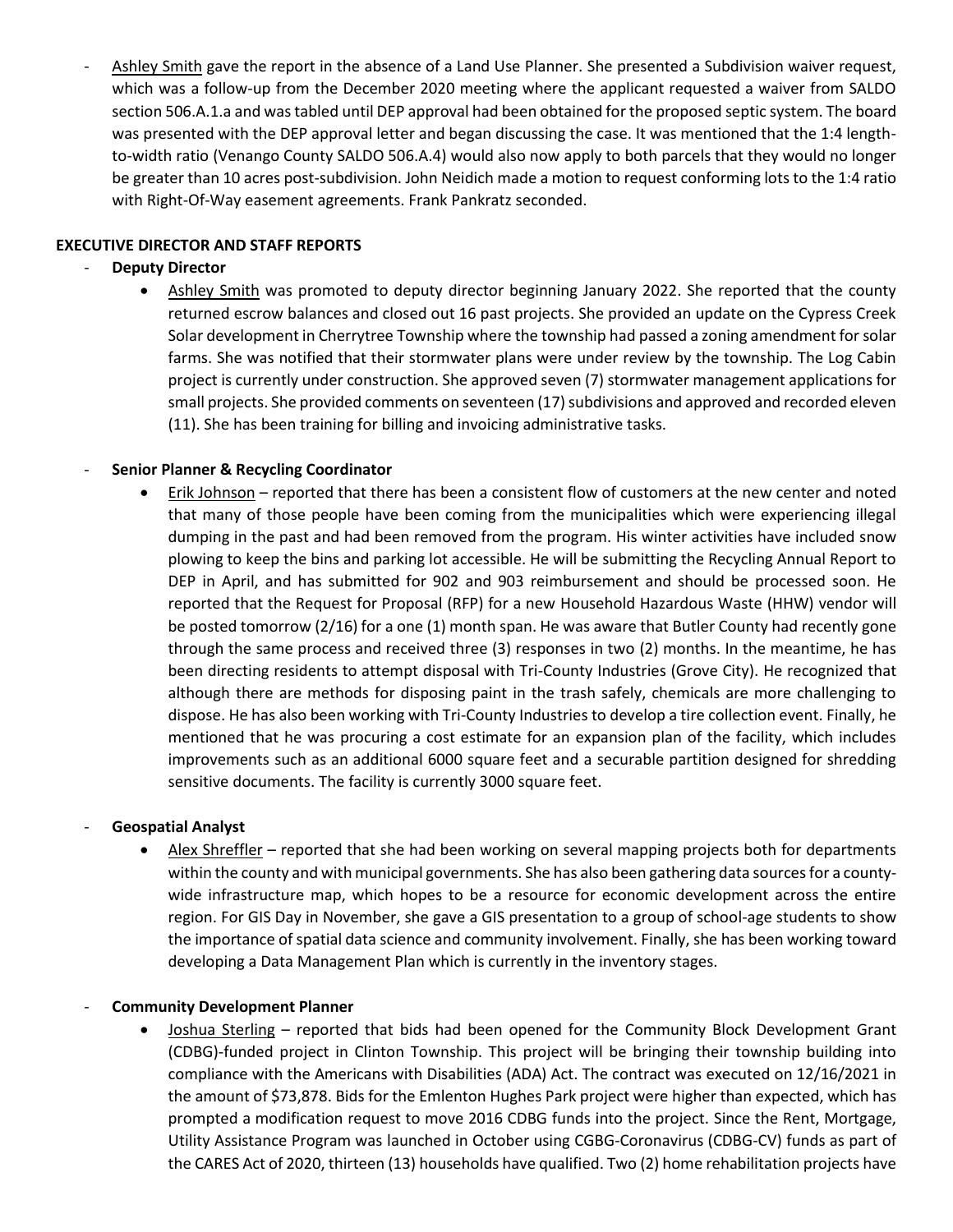Ashley Smith gave the report in the absence of a Land Use Planner. She presented a Subdivision waiver request, which was a follow-up from the December 2020 meeting where the applicant requested a waiver from SALDO section 506.A.1.a and was tabled until DEP approval had been obtained for the proposed septic system. The board was presented with the DEP approval letter and began discussing the case. It was mentioned that the 1:4 lengthto-width ratio (Venango County SALDO 506.A.4) would also now apply to both parcels that they would no longer be greater than 10 acres post-subdivision. John Neidich made a motion to request conforming lots to the 1:4 ratio with Right-Of-Way easement agreements. Frank Pankratz seconded.

# **EXECUTIVE DIRECTOR AND STAFF REPORTS**

# **Deputy Director**

• Ashley Smith was promoted to deputy director beginning January 2022. She reported that the county returned escrow balances and closed out 16 past projects. She provided an update on the Cypress Creek Solar development in Cherrytree Township where the township had passed a zoning amendment for solar farms. She was notified that their stormwater plans were under review by the township. The Log Cabin project is currently under construction. She approved seven (7) stormwater management applications for small projects. She provided comments on seventeen (17) subdivisions and approved and recorded eleven (11). She has been training for billing and invoicing administrative tasks.

# - **Senior Planner & Recycling Coordinator**

• Erik Johnson – reported that there has been a consistent flow of customers at the new center and noted that many of those people have been coming from the municipalities which were experiencing illegal dumping in the past and had been removed from the program. His winter activities have included snow plowing to keep the bins and parking lot accessible. He will be submitting the Recycling Annual Report to DEP in April, and has submitted for 902 and 903 reimbursement and should be processed soon. He reported that the Request for Proposal (RFP) for a new Household Hazardous Waste (HHW) vendor will be posted tomorrow (2/16) for a one (1) month span. He was aware that Butler County had recently gone through the same process and received three (3) responses in two (2) months. In the meantime, he has been directing residents to attempt disposal with Tri-County Industries (Grove City). He recognized that although there are methods for disposing paint in the trash safely, chemicals are more challenging to dispose. He has also been working with Tri-County Industries to develop a tire collection event. Finally, he mentioned that he was procuring a cost estimate for an expansion plan of the facility, which includes improvements such as an additional 6000 square feet and a securable partition designed for shredding sensitive documents. The facility is currently 3000 square feet.

## - **Geospatial Analyst**

• Alex Shreffler – reported that she had been working on several mapping projects both for departments within the county and with municipal governments. She has also been gathering data sources for a countywide infrastructure map, which hopes to be a resource for economic development across the entire region. For GIS Day in November, she gave a GIS presentation to a group of school-age students to show the importance of spatial data science and community involvement. Finally, she has been working toward developing a Data Management Plan which is currently in the inventory stages.

## - **Community Development Planner**

• Joshua Sterling – reported that bids had been opened for the Community Block Development Grant (CDBG)-funded project in Clinton Township. This project will be bringing their township building into compliance with the Americans with Disabilities (ADA) Act. The contract was executed on 12/16/2021 in the amount of \$73,878. Bids for the Emlenton Hughes Park project were higher than expected, which has prompted a modification request to move 2016 CDBG funds into the project. Since the Rent, Mortgage, Utility Assistance Program was launched in October using CGBG-Coronavirus (CDBG-CV) funds as part of the CARES Act of 2020, thirteen (13) households have qualified. Two (2) home rehabilitation projects have